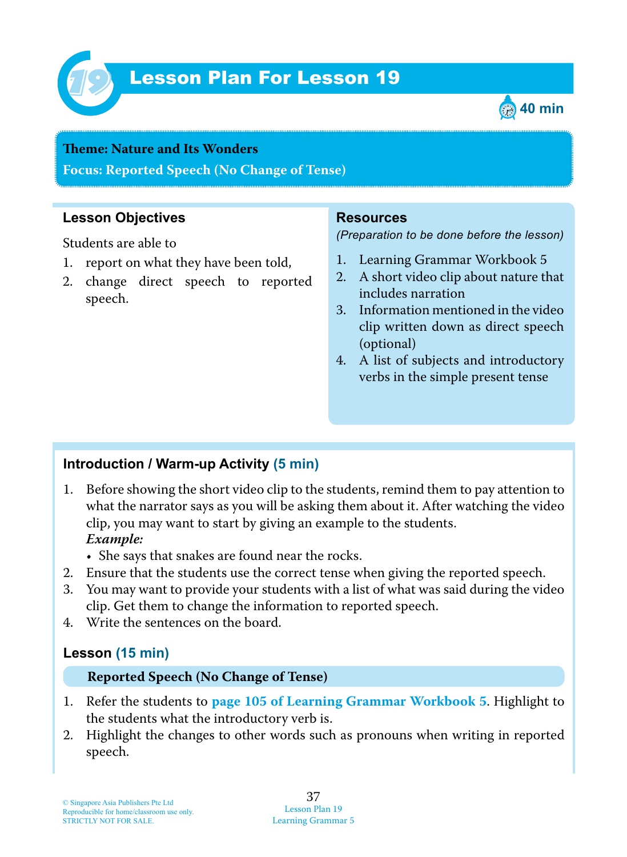

# Lesson Plan For Lesson 19 *19*



# **Teme : Nature and Its Wonders**

**Focus: Reported Speech (No Change of Tense)**

# **Lesson Objectives**

Students are able to

- 1. report on what they have been told,
- 2. change direct speech to reported speech.

#### **Resources**

*(Preparation to be done before the lesson)*

- 1. Learning Grammar Workbook 5
- 2. A short video clip about nature that includes narration
- 3. Information mentioned in the video clip written down as direct speech (optional)
- 4. A list of subjects and introductory verbs in the simple present tense

# **Introduction / Warm-up Activity (5 min)**

- 1. Before showing the short video clip to the students, remind them to pay attention to what the narrator says as you will be asking them about it. After watching the video clip, you may want to start by giving an example to the students.  *Example:*
	- She says that snakes are found near the rocks.
- 2. Ensure that the students use the correct tense when giving the reported speech.
- 3. You may want to provide your students with a list of what was said during the video clip. Get them to change the information to reported speech.
- 4. Write the sentences on the board.

## **Lesson (15 min)**

#### **Reported Speech (No Change of Tense)**

- 1. Refer the students to **page 105 of Learning Grammar Workbook 5**. Highlight to the students what the introductory verb is.
- 2. Highlight the changes to other words such as pronouns when writing in reported speech.